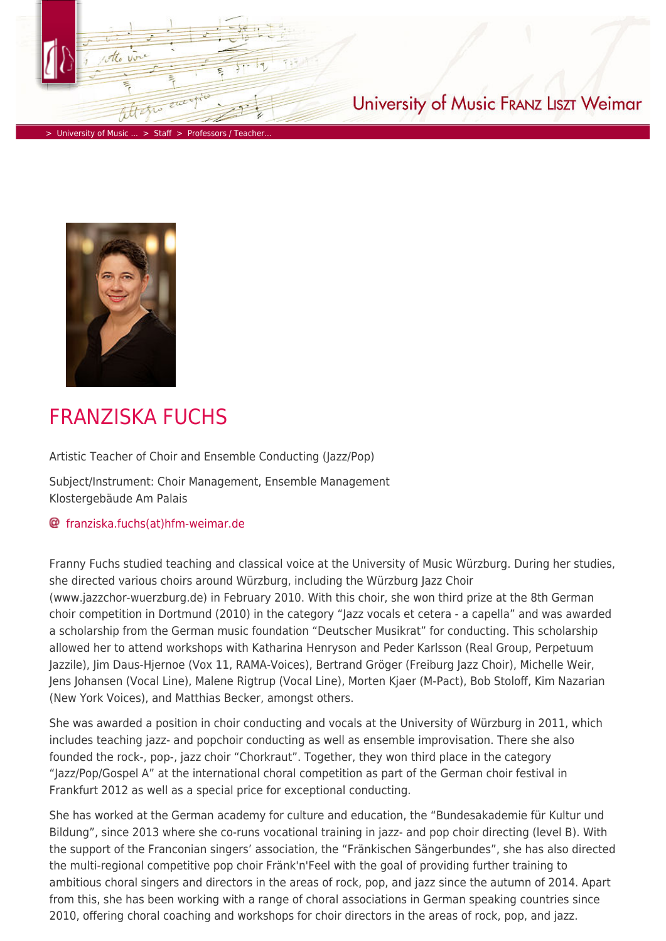

> [University of Music ...](https://www.hfm-weimar.de/start/?L=1) > [Staff](https://www.hfm-weimar.de/staff/professors-teachers/?L=1) > Professors / Teacher

## University of Music FRANZ LISZT Weimar



## FRANZISKA FUCHS

Artistic Teacher of Choir and Ensemble Conducting (Jazz/Pop)

Subject/Instrument: Choir Management, Ensemble Management Klostergebäude Am Palais

## [franziska.fuchs\(at\)hfm-weimar.de](https://www.hfm-weimar.de/javascript:linkTo_UnCryptMailto()

Franny Fuchs studied teaching and classical voice at the University of Music Würzburg. During her studies, she directed various choirs around Würzburg, including the Würzburg Jazz Choir (www.jazzchor-wuerzburg.de) in February 2010. With this choir, she won third prize at the 8th German choir competition in Dortmund (2010) in the category "Jazz vocals et cetera - a capella" and was awarded a scholarship from the German music foundation "Deutscher Musikrat" for conducting. This scholarship allowed her to attend workshops with Katharina Henryson and Peder Karlsson (Real Group, Perpetuum Jazzile), Jim Daus-Hjernoe (Vox 11, RAMA-Voices), Bertrand Gröger (Freiburg Jazz Choir), Michelle Weir, Jens Johansen (Vocal Line), Malene Rigtrup (Vocal Line), Morten Kjaer (M-Pact), Bob Stoloff, Kim Nazarian (New York Voices), and Matthias Becker, amongst others.

She was awarded a position in choir conducting and vocals at the University of Würzburg in 2011, which includes teaching jazz- and popchoir conducting as well as ensemble improvisation. There she also founded the rock-, pop-, jazz choir "Chorkraut". Together, they won third place in the category "Jazz/Pop/Gospel A" at the international choral competition as part of the German choir festival in Frankfurt 2012 as well as a special price for exceptional conducting.

She has worked at the German academy for culture and education, the "Bundesakademie für Kultur und Bildung", since 2013 where she co-runs vocational training in jazz- and pop choir directing (level B). With the support of the Franconian singers' association, the "Fränkischen Sängerbundes", she has also directed the multi-regional competitive pop choir Fränk'n'Feel with the goal of providing further training to ambitious choral singers and directors in the areas of rock, pop, and jazz since the autumn of 2014. Apart from this, she has been working with a range of choral associations in German speaking countries since 2010, offering choral coaching and workshops for choir directors in the areas of rock, pop, and jazz.